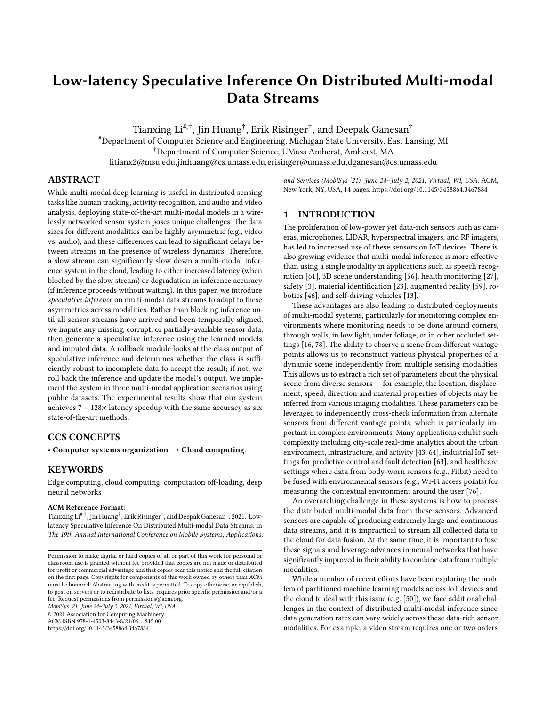# Low-latency Speculative Inference On Distributed Multi-modal Data Streams

Tianxing Li $^{\sharp,\dagger}$ , Jin Huang $^\dagger$ , Erik Risinger $^\dagger$ , and Deepak Ganesan $^\dagger$ 

#Department of Computer Science and Engineering, Michigan State University, East Lansing, MI †Department of Computer Science, UMass Amherst, Amherst, MA litianx2@msu.edu,jinhuang@cs.umass.edu,erisinger@umass.edu,dganesan@cs.umass.edu

## ABSTRACT

While multi-modal deep learning is useful in distributed sensing tasks like human tracking, activity recognition, and audio and video analysis, deploying state-of-the-art multi-modal models in a wirelessly networked sensor system poses unique challenges. The data sizes for different modalities can be highly asymmetric (e.g., video vs. audio), and these differences can lead to significant delays between streams in the presence of wireless dynamics. Therefore, a slow stream can significantly slow down a multi-modal inference system in the cloud, leading to either increased latency (when blocked by the slow stream) or degradation in inference accuracy (if inference proceeds without waiting). In this paper, we introduce speculative inference on multi-modal data streams to adapt to these asymmetries across modalities. Rather than blocking inference until all sensor streams have arrived and been temporally aligned, we impute any missing, corrupt, or partially-available sensor data, then generate a speculative inference using the learned models and imputed data. A rollback module looks at the class output of speculative inference and determines whether the class is sufficiently robust to incomplete data to accept the result; if not, we roll back the inference and update the model's output. We implement the system in three multi-modal application scenarios using public datasets. The experimental results show that our system achieves 7 − 128× latency speedup with the same accuracy as six state-of-the-art methods.

## CCS CONCEPTS

• Computer systems organization  $\rightarrow$  Cloud computing.

#### KEYWORDS

Edge computing, cloud computing, computation off-loading, deep neural networks

#### ACM Reference Format:

Tianxing  $\mathrm{Li}^{\#, \dagger}$  , Jin Huang $^\dagger$  , Erik Risinger  $^\dagger$  , and Deepak Ganesan  $^\dagger$  . 2021. Lowlatency Speculative Inference On Distributed Multi-modal Data Streams. In The 19th Annual International Conference on Mobile Systems, Applications,

MobiSys '21, June 24–July 2, 2021, Virtual, WI, USA

© 2021 Association for Computing Machinery. ACM ISBN 978-1-4503-8443-8/21/06. . . \$15.00 <https://doi.org/10.1145/3458864.3467884>

and Services (MobiSys '21), June 24–July 2, 2021, Virtual, WI, USA. ACM, New York, NY, USA, [14](#page-13-0) pages.<https://doi.org/10.1145/3458864.3467884>

## 1 INTRODUCTION

The proliferation of low-power yet data-rich sensors such as cameras, microphones, LIDAR, hyperspectral imagers, and RF imagers, has led to increased use of these sensors on IoT devices. There is also growing evidence that multi-modal inference is more effective than using a single modality in applications such as speech recognition [\[61\]](#page-13-1), 3D scene understanding [\[56\]](#page-13-2), health monitoring [\[27\]](#page-12-0), safety [\[3\]](#page-12-1), material identification [\[23\]](#page-12-2), augmented reality [\[59\]](#page-13-3), robotics [\[46\]](#page-12-3), and self-driving vehicles [\[13\]](#page-12-4).

These advantages are also leading to distributed deployments of multi-modal systems, particularly for monitoring complex environments where monitoring needs to be done around corners, through walls, in low light, under foliage, or in other occluded settings [\[16,](#page-12-5) [78\]](#page-13-4). The ability to observe a scene from different vantage points allows us to reconstruct various physical properties of a dynamic scene independently from multiple sensing modalities. This allows us to extract a rich set of parameters about the physical scene from diverse sensors — for example, the location, displacement, speed, direction and material properties of objects may be inferred from various imaging modalities. These parameters can be leveraged to independently cross-check information from alternate sensors from different vantage points, which is particularly important in complex environments. Many applications exhibit such complexity including city-scale real-time analytics about the urban environment, infrastructure, and activity [\[43,](#page-12-6) [64\]](#page-13-5), industrial IoT settings for predictive control and fault detection [\[63\]](#page-13-6), and healthcare settings where data from body-worn sensors (e.g., Fitbit) need to be fused with environmental sensors (e.g., Wi-Fi access points) for measuring the contextual environment around the user [\[76\]](#page-13-7).

An overarching challenge in these systems is how to process the distributed multi-modal data from these sensors. Advanced sensors are capable of producing extremely large and continuous data streams, and it is impractical to stream all collected data to the cloud for data fusion. At the same time, it is important to fuse these signals and leverage advances in neural networks that have significantly improved in their ability to combine data from multiple modalities.

While a number of recent efforts have been exploring the problem of partitioned machine learning models across IoT devices and the cloud to deal with this issue (e.g. [\[50\]](#page-13-8)), we face additional challenges in the context of distributed multi-modal inference since data generation rates can vary widely across these data-rich sensor modalities. For example, a video stream requires one or two orders

Permission to make digital or hard copies of all or part of this work for personal or classroom use is granted without fee provided that copies are not made or distributed for profit or commercial advantage and that copies bear this notice and the full citation on the first page. Copyrights for components of this work owned by others than ACM must be honored. Abstracting with credit is permitted. To copy otherwise, or republish, to post on servers or to redistribute to lists, requires prior specific permission and/or a fee. Request permissions from permissions@acm.org.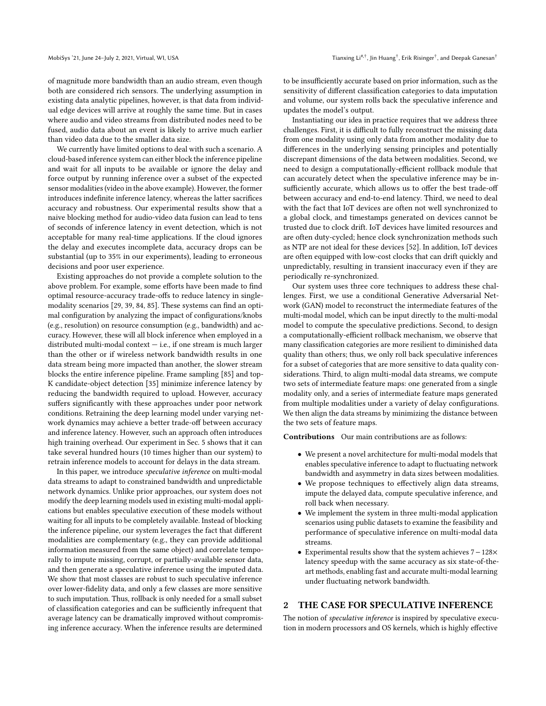of magnitude more bandwidth than an audio stream, even though both are considered rich sensors. The underlying assumption in existing data analytic pipelines, however, is that data from individual edge devices will arrive at roughly the same time. But in cases where audio and video streams from distributed nodes need to be fused, audio data about an event is likely to arrive much earlier than video data due to the smaller data size.

We currently have limited options to deal with such a scenario. A cloud-based inference system can either block the inference pipeline and wait for all inputs to be available or ignore the delay and force output by running inference over a subset of the expected sensor modalities (video in the above example). However, the former introduces indefinite inference latency, whereas the latter sacrifices accuracy and robustness. Our experimental results show that a naive blocking method for audio-video data fusion can lead to tens of seconds of inference latency in event detection, which is not acceptable for many real-time applications. If the cloud ignores the delay and executes incomplete data, accuracy drops can be substantial (up to 35% in our experiments), leading to erroneous decisions and poor user experience.

Existing approaches do not provide a complete solution to the above problem. For example, some efforts have been made to find optimal resource-accuracy trade-offs to reduce latency in singlemodality scenarios [\[29,](#page-12-7) [39,](#page-12-8) [84,](#page-13-9) [85\]](#page-13-10). These systems can find an optimal configuration by analyzing the impact of configurations/knobs (e.g., resolution) on resource consumption (e.g., bandwidth) and accuracy. However, these will all block inference when employed in a distributed multi-modal context  $-$  i.e., if one stream is much larger than the other or if wireless network bandwidth results in one data stream being more impacted than another, the slower stream blocks the entire inference pipeline. Frame sampling [\[85\]](#page-13-10) and top-K candidate-object detection [\[35\]](#page-12-9) minimize inference latency by reducing the bandwidth required to upload. However, accuracy suffers significantly with these approaches under poor network conditions. Retraining the deep learning model under varying network dynamics may achieve a better trade-off between accuracy and inference latency. However, such an approach often introduces high training overhead. Our experiment in Sec. [5](#page-6-0) shows that it can take several hundred hours (10 times higher than our system) to retrain inference models to account for delays in the data stream.

In this paper, we introduce speculative inference on multi-modal data streams to adapt to constrained bandwidth and unpredictable network dynamics. Unlike prior approaches, our system does not modify the deep learning models used in existing multi-modal applications but enables speculative execution of these models without waiting for all inputs to be completely available. Instead of blocking the inference pipeline, our system leverages the fact that different modalities are complementary (e.g., they can provide additional information measured from the same object) and correlate temporally to impute missing, corrupt, or partially-available sensor data, and then generate a speculative inference using the imputed data. We show that most classes are robust to such speculative inference over lower-fidelity data, and only a few classes are more sensitive to such imputation. Thus, rollback is only needed for a small subset of classification categories and can be sufficiently infrequent that average latency can be dramatically improved without compromising inference accuracy. When the inference results are determined

to be insufficiently accurate based on prior information, such as the sensitivity of different classification categories to data imputation and volume, our system rolls back the speculative inference and updates the model's output.

Instantiating our idea in practice requires that we address three challenges. First, it is difficult to fully reconstruct the missing data from one modality using only data from another modality due to differences in the underlying sensing principles and potentially discrepant dimensions of the data between modalities. Second, we need to design a computationally-efficient rollback module that can accurately detect when the speculative inference may be insufficiently accurate, which allows us to offer the best trade-off between accuracy and end-to-end latency. Third, we need to deal with the fact that IoT devices are often not well synchronized to a global clock, and timestamps generated on devices cannot be trusted due to clock drift. IoT devices have limited resources and are often duty-cycled; hence clock synchronization methods such as NTP are not ideal for these devices [\[52\]](#page-13-11). In addition, IoT devices are often equipped with low-cost clocks that can drift quickly and unpredictably, resulting in transient inaccuracy even if they are periodically re-synchronized.

Our system uses three core techniques to address these challenges. First, we use a conditional Generative Adversarial Network (GAN) model to reconstruct the intermediate features of the multi-modal model, which can be input directly to the multi-modal model to compute the speculative predictions. Second, to design a computationally-efficient rollback mechanism, we observe that many classification categories are more resilient to diminished data quality than others; thus, we only roll back speculative inferences for a subset of categories that are more sensitive to data quality considerations. Third, to align multi-modal data streams, we compute two sets of intermediate feature maps: one generated from a single modality only, and a series of intermediate feature maps generated from multiple modalities under a variety of delay configurations. We then align the data streams by minimizing the distance between the two sets of feature maps.

Contributions Our main contributions are as follows:

- We present a novel architecture for multi-modal models that enables speculative inference to adapt to fluctuating network bandwidth and asymmetry in data sizes between modalities.
- We propose techniques to effectively align data streams, impute the delayed data, compute speculative inference, and roll back when necessary.
- We implement the system in three multi-modal application scenarios using public datasets to examine the feasibility and performance of speculative inference on multi-modal data streams.
- Experimental results show that the system achieves 7−128× latency speedup with the same accuracy as six state-of-theart methods, enabling fast and accurate multi-modal learning under fluctuating network bandwidth.

## 2 THE CASE FOR SPECULATIVE INFERENCE

The notion of speculative inference is inspired by speculative execution in modern processors and OS kernels, which is highly effective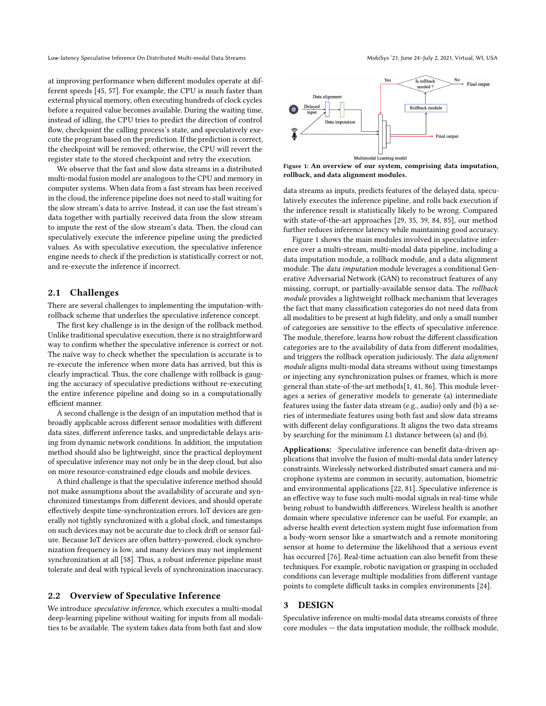at improving performance when different modules operate at different speeds [\[45,](#page-12-10) [57\]](#page-13-12). For example, the CPU is much faster than external physical memory, often executing hundreds of clock cycles before a required value becomes available. During the waiting time, instead of idling, the CPU tries to predict the direction of control flow, checkpoint the calling process's state, and speculatively execute the program based on the prediction. If the prediction is correct, the checkpoint will be removed; otherwise, the CPU will revert the register state to the stored checkpoint and retry the execution.

We observe that the fast and slow data streams in a distributed multi-modal fusion model are analogous to the CPU and memory in computer systems. When data from a fast stream has been received in the cloud, the inference pipeline does not need to stall waiting for the slow stream's data to arrive. Instead, it can use the fast stream's data together with partially received data from the slow stream to impute the rest of the slow stream's data. Then, the cloud can speculatively execute the inference pipeline using the predicted values. As with speculative execution, the speculative inference engine needs to check if the prediction is statistically correct or not, and re-execute the inference if incorrect.

#### 2.1 Challenges

There are several challenges to implementing the imputation-withrollback scheme that underlies the speculative inference concept.

The first key challenge is in the design of the rollback method. Unlike traditional speculative execution, there is no straightforward way to confirm whether the speculative inference is correct or not. The naïve way to check whether the speculation is accurate is to re-execute the inference when more data has arrived, but this is clearly impractical. Thus, the core challenge with rollback is gauging the accuracy of speculative predictions without re-executing the entire inference pipeline and doing so in a computationally efficient manner.

A second challenge is the design of an imputation method that is broadly applicable across different sensor modalities with different data sizes, different inference tasks, and unpredictable delays arising from dynamic network conditions. In addition, the imputation method should also be lightweight, since the practical deployment of speculative inference may not only be in the deep cloud, but also on more resource-constrained edge clouds and mobile devices.

A third challenge is that the speculative inference method should not make assumptions about the availability of accurate and synchronized timestamps from different devices, and should operate effectively despite time-synchronization errors. IoT devices are generally not tightly synchronized with a global clock, and timestamps on such devices may not be accurate due to clock drift or sensor failure. Because IoT devices are often battery-powered, clock synchronization frequency is low, and many devices may not implement synchronization at all [\[58\]](#page-13-13). Thus, a robust inference pipeline must tolerate and deal with typical levels of synchronization inaccuracy.

#### <span id="page-2-1"></span>2.2 Overview of Speculative Inference

We introduce speculative inference, which executes a multi-modal deep-learning pipeline without waiting for inputs from all modalities to be available. The system takes data from both fast and slow

<span id="page-2-0"></span>

Learning model Figure 1: An overview of our system, comprising data imputation, rollback, and data alignment modules.

Multimo

data streams as inputs, predicts features of the delayed data, speculatively executes the inference pipeline, and rolls back execution if the inference result is statistically likely to be wrong. Compared with state-of-the-art approaches [\[29,](#page-12-7) [35,](#page-12-9) [39,](#page-12-8) [84,](#page-13-9) [85\]](#page-13-10), our method further reduces inference latency while maintaining good accuracy.

Figure [1](#page-2-0) shows the main modules involved in speculative inference over a multi-stream, multi-modal data pipeline, including a data imputation module, a rollback module, and a data alignment module. The data imputation module leverages a conditional Generative Adversarial Network (GAN) to reconstruct features of any missing, corrupt, or partially-available sensor data. The rollback module provides a lightweight rollback mechanism that leverages the fact that many classification categories do not need data from all modalities to be present at high fidelity, and only a small number of categories are sensitive to the effects of speculative inference. The module, therefore, learns how robust the different classification categories are to the availability of data from different modalities, and triggers the rollback operation judiciously. The *data alignment* module aligns multi-modal data streams without using timestamps or injecting any synchronization pulses or frames, which is more general than state-of-the-art methods[\[1,](#page-12-11) [41,](#page-12-12) [86\]](#page-13-14). This module leverages a series of generative models to generate (a) intermediate features using the faster data stream (e.g., audio) only and (b) a series of intermediate features using both fast and slow data streams with different delay configurations. It aligns the two data streams by searching for the minimum  $L1$  distance between (a) and (b).

Applications: Speculative inference can benefit data-driven applications that involve the fusion of multi-modal data under latency constraints. Wirelessly networked distributed smart camera and microphone systems are common in security, automation, biometric and environmental applications [\[22,](#page-12-13) [81\]](#page-13-15). Speculative inference is an effective way to fuse such multi-modal signals in real-time while being robust to bandwidth differences. Wireless health is another domain where speculative inference can be useful. For example, an adverse health event detection system might fuse information from a body-worn sensor like a smartwatch and a remote monitoring sensor at home to determine the likelihood that a serious event has occurred [\[76\]](#page-13-7). Real-time actuation can also benefit from these techniques. For example, robotic navigation or grasping in occluded conditions can leverage multiple modalities from different vantage points to complete difficult tasks in complex environments [\[24\]](#page-12-14).

#### 3 DESIGN

Speculative inference on multi-modal data streams consists of three core modules — the data imputation module, the rollback module,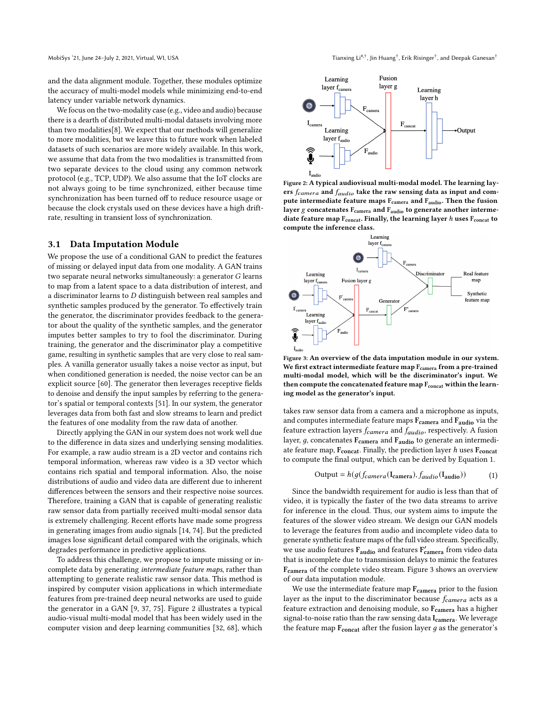and the data alignment module. Together, these modules optimize the accuracy of multi-model models while minimizing end-to-end latency under variable network dynamics.

We focus on the two-modality case (e.g., video and audio) because there is a dearth of distributed multi-modal datasets involving more than two modalities[\[8\]](#page-12-15). We expect that our methods will generalize to more modalities, but we leave this to future work when labeled datasets of such scenarios are more widely available. In this work, we assume that data from the two modalities is transmitted from two separate devices to the cloud using any common network protocol (e.g., TCP, UDP). We also assume that the IoT clocks are not always going to be time synchronized, either because time synchronization has been turned off to reduce resource usage or because the clock crystals used on these devices have a high driftrate, resulting in transient loss of synchronization.

#### <span id="page-3-3"></span>3.1 Data Imputation Module

We propose the use of a conditional GAN to predict the features of missing or delayed input data from one modality. A GAN trains two separate neural networks simultaneously: a generator  $G$  learns to map from a latent space to a data distribution of interest, and a discriminator learns to D distinguish between real samples and synthetic samples produced by the generator. To effectively train the generator, the discriminator provides feedback to the generator about the quality of the synthetic samples, and the generator imputes better samples to try to fool the discriminator. During training, the generator and the discriminator play a competitive game, resulting in synthetic samples that are very close to real samples. A vanilla generator usually takes a noise vector as input, but when conditioned generation is needed, the noise vector can be an explicit source [\[60\]](#page-13-16). The generator then leverages receptive fields to denoise and densify the input samples by referring to the generator's spatial or temporal contexts [\[51\]](#page-13-17). In our system, the generator leverages data from both fast and slow streams to learn and predict the features of one modality from the raw data of another.

Directly applying the GAN in our system does not work well due to the difference in data sizes and underlying sensing modalities. For example, a raw audio stream is a 2D vector and contains rich temporal information, whereas raw video is a 3D vector which contains rich spatial and temporal information. Also, the noise distributions of audio and video data are different due to inherent differences between the sensors and their respective noise sources. Therefore, training a GAN that is capable of generating realistic raw sensor data from partially received multi-modal sensor data is extremely challenging. Recent efforts have made some progress in generating images from audio signals [\[14,](#page-12-16) [74\]](#page-13-18). But the predicted images lose significant detail compared with the originals, which degrades performance in predictive applications.

To address this challenge, we propose to impute missing or incomplete data by generating intermediate feature maps, rather than attempting to generate realistic raw sensor data. This method is inspired by computer vision applications in which intermediate features from pre-trained deep neural networks are used to guide the generator in a GAN [\[9,](#page-12-17) [37,](#page-12-18) [75\]](#page-13-19). Figure [2](#page-3-0) illustrates a typical audio-visual multi-modal model that has been widely used in the computer vision and deep learning communities [\[32,](#page-12-19) [68\]](#page-13-20), which

<span id="page-3-0"></span>

Figure 2: A typical audiovisual multi-modal model. The learning layers  $f_{\emph{camera}}$  and  $f_{\emph{audio}}$  take the raw sensing data as input and compute intermediate feature maps  $\rm F_{\rm camera}$  and  $\rm F_{\rm audio}.$  Then the fusion layer  $g$  concatenates  $\rm F_{\rm camera}$  and  $\rm F_{\rm audio}$  to generate another intermediate feature map  $F_{concat}$ . Finally, the learning layer h uses  $F_{concat}$  to compute the inference class.

<span id="page-3-2"></span>

Figure 3: An overview of the data imputation module in our system. We first extract intermediate feature map F<sub>camera</sub> from a pre-trained multi-modal model, which will be the discriminator's input. We then compute the concatenated feature map F<sub>concat</sub> within the learning model as the generator's input.

takes raw sensor data from a camera and a microphone as inputs, and computes intermediate feature maps  $F_{\text{camera}}$  and  $F_{\text{audio}}$  via the feature extraction layers  $f_{\text{camera}}$  and  $f_{\text{audio}}$ , respectively. A fusion layer,  $g$ , concatenates  $F_{\text{camera}}$  and  $F_{\text{audio}}$  to generate an intermediate feature map,  $F_{concat}$ . Finally, the prediction layer  $h$  uses  $F_{concat}$ to compute the final output, which can be derived by Equation [1.](#page-3-1)

<span id="page-3-1"></span>
$$
Output = h(g(f_{\text{camera}}(I_{\text{camera}}), f_{\text{audio}}(I_{\text{audio}}))
$$
 (1)

Since the bandwidth requirement for audio is less than that of video, it is typically the faster of the two data streams to arrive for inference in the cloud. Thus, our system aims to impute the features of the slower video stream. We design our GAN models to leverage the features from audio and incomplete video data to generate synthetic feature maps of the full video stream. Specifically, we use audio features  $F_{\text{audio}}$  and features  $F_{\text{camera}}'$  from video data that is incomplete due to transmission delays to mimic the features Fcamera of the complete video stream. Figure [3](#page-3-2) shows an overview of our data imputation module.

We use the intermediate feature map  $\mathbf{F_{camera}}$  prior to the fusion layer as the input to the discriminator because  $f_{\text{camera}}$  acts as a feature extraction and denoising module, so  $F_{\text{camera}}$  has a higher signal-to-noise ratio than the raw sensing data I<sub>camera</sub>. We leverage the feature map  $F_{concat}$  after the fusion layer  $g$  as the generator's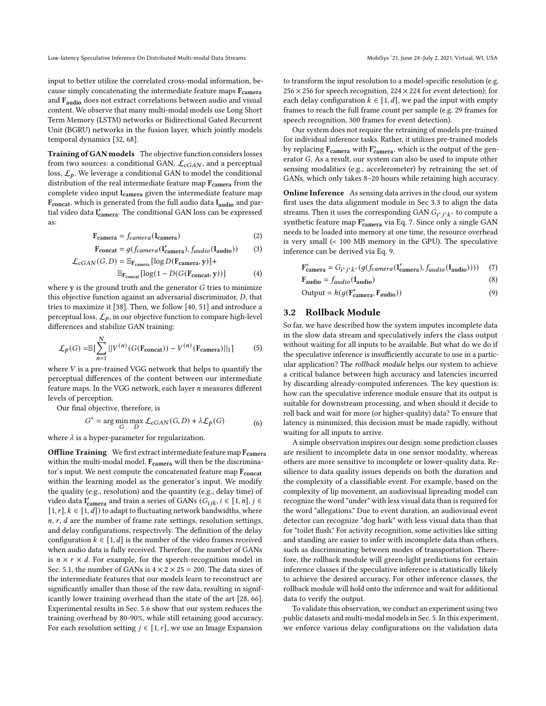Low-latency Speculative Inference On Distributed Multi-modal Data Streams Mobis Multi-modal Data Streams MobiSys '21, June 24-July 2, 2021, Virtual, WI, USA

input to better utilize the correlated cross-modal information, because simply concatenating the intermediate feature maps  $F_{\text{camera}}$ and Faudio does not extract correlations between audio and visual content. We observe that many multi-modal models use Long Short Term Memory (LSTM) networks or Bidirectional Gated Recurrent Unit (BGRU) networks in the fusion layer, which jointly models temporal dynamics [\[32,](#page-12-19) [68\]](#page-13-20).

Training of GAN models The objective function considers losses from two sources: a conditional GAN,  $\mathcal{L}_{cGAN}$ , and a perceptual loss,  $\mathcal{L}_{p}$ . We leverage a conditional GAN to model the conditional distribution of the real intermediate feature map  $F_{\text{camera}}$  from the complete video input I<sub>camera</sub> given the intermediate feature map Fconcat, which is generated from the full audio data Iaudio and partial video data I'<sub>camera</sub>. The conditional GAN loss can be expressed as:

$$
\mathbf{F}_{\text{camera}} = f_{\text{camera}}(\mathbf{I}_{\text{camera}}) \tag{2}
$$

$$
\mathbf{F_{concat}} = g(f_{\text{camera}}(\mathbf{I'_{\text{camera}}}, f_{\text{audio}}(\mathbf{I_{\text{audio}}}))
$$
(3)  

$$
\mathcal{L}_{cGAN}(G, D) = \mathbb{E}_{\mathbf{F_{\text{camera}}}}[\log D(\mathbf{F_{\text{camera}}}, \mathbf{y})] +
$$

$$
E_{\text{Fconcat}} \left[ \log(1 - D(G(\text{Fconcat}, y))) \right]
$$
 (4)

where  $y$  is the ground truth and the generator  $G$  tries to minimize this objective function against an adversarial discriminator,  $D$ , that tries to maximize it [\[38\]](#page-12-20). Then, we follow [\[40,](#page-12-21) [51\]](#page-13-17) and introduce a perceptual loss,  $\mathcal{L}_p$ , in our objective function to compare high-level differences and stabilize GAN training:

$$
\mathcal{L}_p(G) = \mathbb{E}\left[\sum_{n=1}^N ||V^{(n)}(G(\mathbf{F_{concat}})) - V^{(n)}(\mathbf{F_{camera}})||_1\right]
$$
(5)

where  $V$  is a pre-trained VGG network that helps to quantify the perceptual differences of the content between our intermediate feature maps. In the VGG network, each layer  $n$  measures different levels of perception.

Our final objective, therefore, is

$$
G^* = \arg\min_G \max_D \mathcal{L}_{cGAN}(G, D) + \lambda \mathcal{L}_p(G)
$$
(6)

where  $\lambda$  is a hyper-parameter for regularization.

Offline Training We first extract intermediate feature map F<sub>camera</sub> within the multi-modal model. F<sub>camera</sub> will then be the discriminator's input. We next compute the concatenated feature map  $F_{concat}$ within the learning model as the generator's input. We modify the quality (e.g., resolution) and the quantity (e.g., delay time) of video data  $I'_{\text{camera}}$  and train a series of GANs  $(G_{ijk}, i \in [1, n], j \in$  $[1, r]$ ,  $k \in [1, d]$  to adapt to fluctuating network bandwidths, where  $n, r, d$  are the number of frame rate settings, resolution settings, and delay configurations, respectively. The definition of the delay configuration  $k \in [1, d]$  is the number of the video frames received when audio data is fully received. Therefore, the number of GANs is  $n \times r \times d$ . For example, for the speech-recognition model in Sec. [5.1,](#page-7-0) the number of GANs is  $4 \times 2 \times 25 = 200$ . The data sizes of the intermediate features that our models learn to reconstruct are significantly smaller than those of the raw data, resulting in significantly lower training overhead than the state of the art [\[28,](#page-12-22) [66\]](#page-13-21). Experimental results in Sec. [5.6](#page-10-0) show that our system reduces the training overhead by 80-90%, while still retaining good accuracy. For each resolution setting  $j \in [1, r]$ , we use an Image Expansion

to transform the input resolution to a model-specific resolution (e.g.  $256 \times 256$  for speech recognition,  $224 \times 224$  for event detection); for each delay configuration  $k \in [1, d]$ , we pad the input with empty frames to reach the full frame count per sample (e.g. 29 frames for speech recognition, 300 frames for event detection).

Our system does not require the retraining of models pre-trained for individual inference tasks. Rather, it utilizes pre-trained models by replacing  $\rm F_{\rm camera}$  with  $\rm F_{\rm camera}^*$ , which is the output of the generator  $G$ . As a result, our system can also be used to impute other sensing modalities (e.g., accelerometer) by retraining the set of GANs, which only takes 8–20 hours while retaining high accuracy.

Online Inference As sensing data arrives in the cloud, our system first uses the data alignment module in Sec [3.3](#page-6-1) to align the data streams. Then it uses the corresponding GAN  $G_{i^*j^*k^*}$  to compute a synthetic feature map  $F_{\text{camera}}^*$  via Eq. [7.](#page-4-0) Since only a single GAN needs to be loaded into memory at one time, the resource overhead is very small (< 100 MB memory in the GPU). The speculative inference can be derived via Eq. [9.](#page-4-1)

<span id="page-4-0"></span>
$$
\mathbf{F}^*_{\mathbf{camera}} = G_{i^*j^*k^*}(g(f_{\mathbf{camera}}(\mathbf{I'_{\mathbf{camera}}}), f_{audio}(\mathbf{I_{\mathbf{audio}}})))
$$
 (7)

<span id="page-4-1"></span>
$$
F_{audio} = f_{audio}(I_{audio})
$$
 (8)

Output = 
$$
h(g(\mathbf{F}_{\text{camera}}^*, \mathbf{F}_{\text{audio}}))
$$
 (9)

## 3.2 Rollback Module

So far, we have described how the system imputes incomplete data in the slow data stream and speculatively infers the class output without waiting for all inputs to be available. But what do we do if the speculative inference is insufficiently accurate to use in a particular application? The *rollback module* helps our system to achieve a critical balance between high accuracy and latencies incurred by discarding already-computed inferences. The key question is: how can the speculative inference module ensure that its output is suitable for downstream processing, and when should it decide to roll back and wait for more (or higher-quality) data? To ensure that latency is minimized, this decision must be made rapidly, without waiting for all inputs to arrive.

A simple observation inspires our design: some prediction classes are resilient to incomplete data in one sensor modality, whereas others are more sensitive to incomplete or lower-quality data. Resilience to data quality issues depends on both the duration and the complexity of a classifiable event. For example, based on the complexity of lip movement, an audiovisual lipreading model can recognize the word "under" with less visual data than is required for the word "allegations." Due to event duration, an audiovisual event detector can recognize "dog bark" with less visual data than that for "toilet flush." For activity recognition, some activities like sitting and standing are easier to infer with incomplete data than others, such as discriminating between modes of transportation. Therefore, the rollback module will green-light predictions for certain inference classes if the speculative inference is statistically likely to achieve the desired accuracy. For other inference classes, the rollback module will hold onto the inference and wait for additional data to verify the output.

To validate this observation, we conduct an experiment using two public datasets and multi-modal models in Sec. [5.](#page-6-0) In this experiment, we enforce various delay configurations on the validation data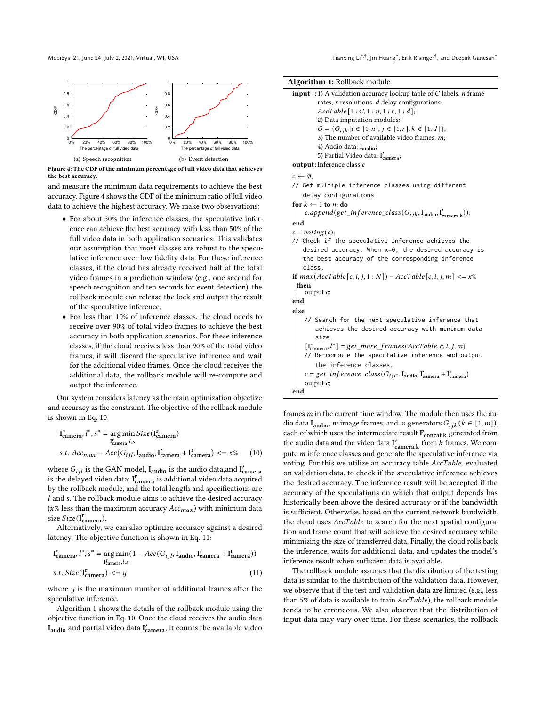, Jin Huang $^\dagger$ , Erik Risinger $^\dagger$ , and Deepak Ganesan $^\dagger$ 

<span id="page-5-0"></span>

Figure 4: The CDF of the minimum percentage of full video data that achieves the best accuracy.

and measure the minimum data requirements to achieve the best accuracy. Figure [4](#page-5-0) shows the CDF of the minimum ratio of full video data to achieve the highest accuracy. We make two observations:

- For about 50% the inference classes, the speculative inference can achieve the best accuracy with less than 50% of the full video data in both application scenarios. This validates our assumption that most classes are robust to the speculative inference over low fidelity data. For these inference classes, if the cloud has already received half of the total video frames in a prediction window (e.g., one second for speech recognition and ten seconds for event detection), the rollback module can release the lock and output the result of the speculative inference.
- For less than 10% of inference classes, the cloud needs to receive over 90% of total video frames to achieve the best accuracy in both application scenarios. For these inference classes, if the cloud receives less than 90% of the total video frames, it will discard the speculative inference and wait for the additional video frames. Once the cloud receives the additional data, the rollback module will re-compute and output the inference.

Our system considers latency as the main optimization objective and accuracy as the constraint. The objective of the rollback module is shown in Eq. [10:](#page-5-1)

$$
\begin{aligned} \mathbf{I}_{\text{camera}}^*, l^*, s^* &= \underset{\mathbf{I}_{\text{camera}}^*}{\text{arg min}} \text{Size}(\mathbf{I}_{\text{camera}}^{\mathbf{r}}) \\ \text{s.t. } \text{Acc}_{\text{max}} - \text{Acc}(G_{ijl}, \mathbf{I}_{\text{audio}}, \mathbf{I}_{\text{camera}}^{\prime} + \mathbf{I}_{\text{camera}}^{\mathbf{r}}) <= x\% \end{aligned} \tag{10}
$$

where  $G_{ijl}$  is the GAN model,  $I_{\text{audio}}$  is the audio data,and  $I_{\text{camera}}^{\prime}$ is the delayed video data;  $\boldsymbol{\mathrm{I^{r}_{camera}}}$  is additional video data acquired by the rollback module, and the total length and specifications are  $l$  and  $s$ . The rollback module aims to achieve the desired accuracy ( $x$ % less than the maximum accuracy  $Acc_{max}$ ) with minimum data size  $Size(\mathbf{I}^r_{\text{camera}})$ .

Alternatively, we can also optimize accuracy against a desired latency. The objective function is shown in Eq. [11:](#page-5-2)

$$
\begin{aligned} \mathbf{I}^*_{\text{camera}}, & l^*, s^* = \underset{\mathbf{I}^{\text{r}}_{\text{camera}},l,s}{\arg \min}(1 - Acc(G_{ijl}, \mathbf{I}_{\text{audio}}, \mathbf{I}'_{\text{camera}} + \mathbf{I}^{\text{r}}_{\text{camera}})) \\ s.t. & Size(\mathbf{I}^{\text{r}}_{\text{camera}}) <= y \end{aligned} \tag{11}
$$

where  $y$  is the maximum number of additional frames after the speculative inference.

Algorithm [1](#page-5-3) shows the details of the rollback module using the objective function in Eq. [10.](#page-5-1) Once the cloud receives the audio data  $I_{\rm audio}$  and partial video data  $I'_{\rm camera}$ , it counts the available video



| <b>Algorithm 1:</b> Rollback module.                                                     |  |  |  |  |  |
|------------------------------------------------------------------------------------------|--|--|--|--|--|
| <b>input</b> : 1) A validation accuracy lookup table of C labels, <i>n</i> frame         |  |  |  |  |  |
| rates, $r$ resolutions, $d$ delay configurations:                                        |  |  |  |  |  |
| AccTable[1:C, 1:n, 1:r, 1:d];                                                            |  |  |  |  |  |
| 2) Data imputation modules:                                                              |  |  |  |  |  |
| $G = \{G_{ijk}   i \in [1, n], j \in [1, r], k \in [1, d]\};$                            |  |  |  |  |  |
| 3) The number of available video frames: $m$ ;                                           |  |  |  |  |  |
| 4) Audio data: $I_{\text{audio}}$ ;                                                      |  |  |  |  |  |
| 5) Partial Video data: I'camera;                                                         |  |  |  |  |  |
| output: Inference class c                                                                |  |  |  |  |  |
| $c \leftarrow \emptyset$                                                                 |  |  |  |  |  |
| // Get multiple inference classes using different                                        |  |  |  |  |  |
| delay configurations                                                                     |  |  |  |  |  |
| for $k \leftarrow 1$ to m do                                                             |  |  |  |  |  |
| c.append(get_inference_class( $G_{ijk}$ , I <sub>audio</sub> , I' <sub>camerak</sub> )); |  |  |  |  |  |
| end                                                                                      |  |  |  |  |  |
| $c = voting(c);$                                                                         |  |  |  |  |  |
| // Check if the speculative inference achieves the                                       |  |  |  |  |  |
| desired accuracy. When x=0, the desired accuracy is                                      |  |  |  |  |  |
| the best accuracy of the corresponding inference                                         |  |  |  |  |  |
| class.                                                                                   |  |  |  |  |  |
| if $max(AccTable[c, i, j, 1:N]) - AccTable[c, i, j, m] \le x\%$                          |  |  |  |  |  |
| then                                                                                     |  |  |  |  |  |
| output $c$ ;                                                                             |  |  |  |  |  |
| end                                                                                      |  |  |  |  |  |
| else                                                                                     |  |  |  |  |  |
| // Search for the next speculative inference that                                        |  |  |  |  |  |
| achieves the desired accuracy with minimum data                                          |  |  |  |  |  |
| size.                                                                                    |  |  |  |  |  |
| $[I^*_{\text{camera}}, l^*] = get\_more\_frames(AccTable, c, i, j, m)$                   |  |  |  |  |  |
| // Re-compute the speculative inference and output                                       |  |  |  |  |  |
| the inference classes.                                                                   |  |  |  |  |  |
| $c = get\_inference\_class(G_{ijl^*}, I_{audio}, I'_{camera} + I^{*}_{camera})$          |  |  |  |  |  |
| output $c$ ;                                                                             |  |  |  |  |  |
| end                                                                                      |  |  |  |  |  |

<span id="page-5-3"></span><span id="page-5-1"></span>frames  $m$  in the current time window. The module then uses the audio data I<sub>audio</sub>, *m* image frames, and *m* generators  $G_{ijk}$  ( $k \in [1,m]$ ), each of which uses the intermediate result  $\mathbf{F_{concat,k}}$  generated from the audio data and the video data  $I'_{\text{camera},k}$  from *k* frames. We compute  $m$  inference classes and generate the speculative inference via voting. For this we utilize an accuracy table AccTable, evaluated on validation data, to check if the speculative inference achieves the desired accuracy. The inference result will be accepted if the accuracy of the speculations on which that output depends has historically been above the desired accuracy or if the bandwidth is sufficient. Otherwise, based on the current network bandwidth, the cloud uses  $AccTable$  to search for the next spatial configuration and frame count that will achieve the desired accuracy while minimizing the size of transferred data. Finally, the cloud rolls back the inference, waits for additional data, and updates the model's inference result when sufficient data is available.

<span id="page-5-2"></span>The rollback module assumes that the distribution of the testing data is similar to the distribution of the validation data. However, we observe that if the test and validation data are limited (e.g., less than 5% of data is available to train  $AccTable$ ), the rollback module tends to be erroneous. We also observe that the distribution of input data may vary over time. For these scenarios, the rollback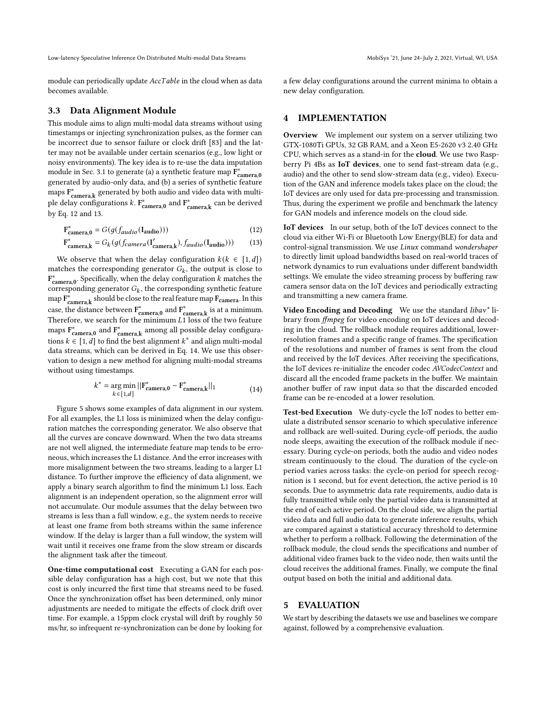Low-latency Speculative Inference On Distributed Multi-modal Data Streams Mobis Multi-modal Data Streams MobiSys '21, June 24-July 2, 2021, Virtual, WI, USA

module can periodically update  $AccTable$  in the cloud when as data becomes available.

#### <span id="page-6-1"></span>3.3 Data Alignment Module

This module aims to align multi-modal data streams without using timestamps or injecting synchronization pulses, as the former can be incorrect due to sensor failure or clock drift [\[83\]](#page-13-22) and the latter may not be available under certain scenarios (e.g., low light or noisy environments). The key idea is to re-use the data imputation module in Sec. [3.1](#page-3-3) to generate (a) a synthetic feature map  $\tilde{\mathbf{F}}^*_{\mathbf{camera,0}}$ generated by audio-only data, and (b) a series of synthetic feature maps  $F^*_{\text{camera},k}$  generated by both audio and video data with multiple delay configurations  $k$ .  $F_{\text{camera,}0}^*$  and  $F_{\text{camera,k}}^*$  can be derived by Eq. [12](#page-6-2) and [13.](#page-6-3)

$$
\mathbf{F}^*_{\mathbf{camera},0} = G(g(f_{audio}(\mathbf{I_{audio}})))\tag{12}
$$

$$
\mathbf{F}^*_{\mathbf{camera},\mathbf{k}} = G_k(g(f_{\mathbf{camera}}(\mathbf{I'_{\mathbf{camera},\mathbf{k}}}), f_{audio}(\mathbf{I_{audio}})))
$$
 (13)

We observe that when the delay configuration  $k(k \in [1, d])$ matches the corresponding generator  $G_k$ , the output is close to  $F_{\text{camera},0}^*$ . Specifically, when the delay configuration  $k$  matches the corresponding generator  $G_k$ , the corresponding synthetic feature map  $\overline{F}_{\text{camera},k}^*$  should be close to the real feature map  $\overline{F}_{\text{camera}}$ . In this case, the distance between  $F_{\text{camera,0}}^*$  and  $F_{\text{camera,k}}^*$  is at a minimum. Therefore, we search for the minimum  $L1$  loss of the two feature maps  $F_{\text{camera,0}}^*$  and  $F_{\text{camera,k}}^*$  among all possible delay configurations  $k \in [1, d]$  to find the best alignment  $k^*$  and align multi-modal data streams, which can be derived in Eq. [14.](#page-6-4) We use this observation to design a new method for aligning multi-modal streams without using timestamps.

<span id="page-6-4"></span>
$$
k^* = \underset{k \in [1,d]}{\arg \min} ||\mathbf{F}_{\text{camera},0}^* - \mathbf{F}_{\text{camera},k}^*||_1
$$
 (14)

Figure [5](#page-7-1) shows some examples of data alignment in our system. For all examples, the L1 loss is minimized when the delay configuration matches the corresponding generator. We also observe that all the curves are concave downward. When the two data streams are not well aligned, the intermediate feature map tends to be erroneous, which increases the L1 distance. And the error increases with more misalignment between the two streams, leading to a larger L1 distance. To further improve the efficiency of data alignment, we apply a binary search algorithm to find the minimum L1 loss. Each alignment is an independent operation, so the alignment error will not accumulate. Our module assumes that the delay between two streams is less than a full window, e.g., the system needs to receive at least one frame from both streams within the same inference window. If the delay is larger than a full window, the system will wait until it receives one frame from the slow stream or discards the alignment task after the timeout.

One-time computational cost Executing a GAN for each possible delay configuration has a high cost, but we note that this cost is only incurred the first time that streams need to be fused. Once the synchronization offset has been determined, only minor adjustments are needed to mitigate the effects of clock drift over time. For example, a 15ppm clock crystal will drift by roughly 50 ms/hr, so infrequent re-synchronization can be done by looking for

a few delay configurations around the current minima to obtain a new delay configuration.

#### 4 IMPLEMENTATION

Overview We implement our system on a server utilizing two GTX-1080Ti GPUs, 32 GB RAM, and a Xeon E5-2620 v3 2.40 GHz CPU, which serves as a stand-in for the cloud. We use two Raspberry Pi 4Bs as IoT devices, one to send fast-stream data (e.g., audio) and the other to send slow-stream data (e.g., video). Execution of the GAN and inference models takes place on the cloud; the IoT devices are only used for data pre-processing and transmission. Thus, during the experiment we profile and benchmark the latency for GAN models and inference models on the cloud side.

<span id="page-6-3"></span><span id="page-6-2"></span>IoT devices In our setup, both of the IoT devices connect to the cloud via either Wi-Fi or Bluetooth Low Energy(BLE) for data and control-signal transmission. We use Linux command wondershaper to directly limit upload bandwidths based on real-world traces of network dynamics to run evaluations under different bandwidth settings. We emulate the video streaming process by buffering raw camera sensor data on the IoT devices and periodically extracting and transmitting a new camera frame.

Video Encoding and Decoding We use the standard libav\* library from ffmpeg for video encoding on IoT devices and decoding in the cloud. The rollback module requires additional, lowerresolution frames and a specific range of frames. The specification of the resolutions and number of frames is sent from the cloud and received by the IoT devices. After receiving the specifications, the IoT devices re-initialize the encoder codec AVCodecContext and discard all the encoded frame packets in the buffer. We maintain another buffer of raw input data so that the discarded encoded frame can be re-encoded at a lower resolution.

Test-bed Execution We duty-cycle the IoT nodes to better emulate a distributed sensor scenario to which speculative inference and rollback are well-suited. During cycle-off periods, the audio node sleeps, awaiting the execution of the rollback module if necessary. During cycle-on periods, both the audio and video nodes stream continuously to the cloud. The duration of the cycle-on period varies across tasks: the cycle-on period for speech recognition is 1 second, but for event detection, the active period is 10 seconds. Due to asymmetric data rate requirements, audio data is fully transmitted while only the partial video data is transmitted at the end of each active period. On the cloud side, we align the partial video data and full audio data to generate inference results, which are compared against a statistical accuracy threshold to determine whether to perform a rollback. Following the determination of the rollback module, the cloud sends the specifications and number of additional video frames back to the video node, then waits until the cloud receives the additional frames. Finally, we compute the final output based on both the initial and additional data.

#### <span id="page-6-0"></span>5 EVALUATION

We start by describing the datasets we use and baselines we compare against, followed by a comprehensive evaluation.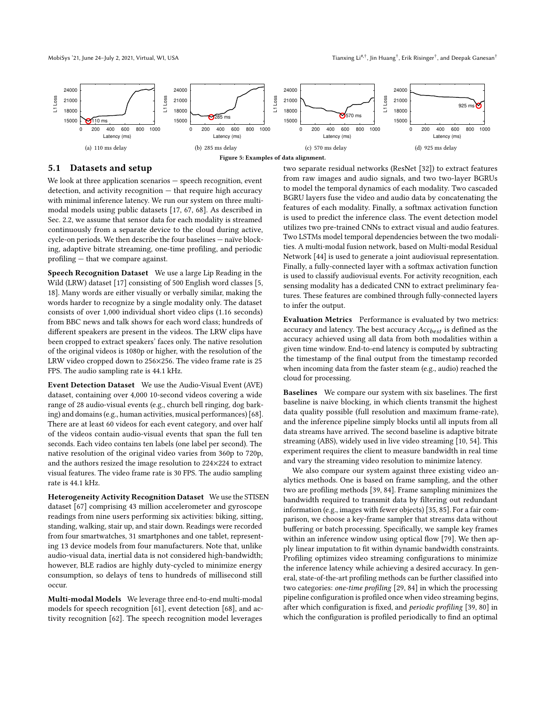<span id="page-7-1"></span>

#### <span id="page-7-0"></span>5.1 Datasets and setup

We look at three application scenarios — speech recognition, event detection, and activity recognition — that require high accuracy with minimal inference latency. We run our system on three multimodal models using public datasets [\[17,](#page-12-23) [67,](#page-13-23) [68\]](#page-13-20). As described in Sec. [2.2,](#page-2-1) we assume that sensor data for each modality is streamed continuously from a separate device to the cloud during active, cycle-on periods. We then describe the four baselines — naïve blocking, adaptive bitrate streaming, one-time profiling, and periodic profiling — that we compare against.

Speech Recognition Dataset We use a large Lip Reading in the Wild (LRW) dataset [\[17\]](#page-12-23) consisting of 500 English word classes [\[5,](#page-12-24) [18\]](#page-12-25). Many words are either visually or verbally similar, making the words harder to recognize by a single modality only. The dataset consists of over 1,000 individual short video clips (1.16 seconds) from BBC news and talk shows for each word class; hundreds of different speakers are present in the videos. The LRW clips have been cropped to extract speakers' faces only. The native resolution of the original videos is 1080p or higher, with the resolution of the LRW video cropped down to 256×256. The video frame rate is 25 FPS. The audio sampling rate is 44.1 kHz.

Event Detection Dataset We use the Audio-Visual Event (AVE) dataset, containing over 4,000 10-second videos covering a wide range of 28 audio-visual events (e.g., church bell ringing, dog barking) and domains (e.g., human activities, musical performances) [\[68\]](#page-13-20). There are at least 60 videos for each event category, and over half of the videos contain audio-visual events that span the full ten seconds. Each video contains ten labels (one label per second). The native resolution of the original video varies from 360p to 720p, and the authors resized the image resolution to 224×224 to extract visual features. The video frame rate is 30 FPS. The audio sampling rate is 44.1 kHz.

Heterogeneity Activity Recognition Dataset We use the STISEN dataset [\[67\]](#page-13-23) comprising 43 million accelerometer and gyroscope readings from nine users performing six activities: biking, sitting, standing, walking, stair up, and stair down. Readings were recorded from four smartwatches, 31 smartphones and one tablet, representing 13 device models from four manufacturers. Note that, unlike audio-visual data, inertial data is not considered high-bandwidth; however, BLE radios are highly duty-cycled to minimize energy consumption, so delays of tens to hundreds of millisecond still occur.

Multi-modal Models We leverage three end-to-end multi-modal models for speech recognition [\[61\]](#page-13-1), event detection [\[68\]](#page-13-20), and activity recognition [\[62\]](#page-13-24). The speech recognition model leverages

two separate residual networks (ResNet [\[32\]](#page-12-19)) to extract features from raw images and audio signals, and two two-layer BGRUs to model the temporal dynamics of each modality. Two cascaded BGRU layers fuse the video and audio data by concatenating the features of each modality. Finally, a softmax activation function is used to predict the inference class. The event detection model utilizes two pre-trained CNNs to extract visual and audio features. Two LSTMs model temporal dependencies between the two modalities. A multi-modal fusion network, based on Multi-modal Residual Network [\[44\]](#page-12-26) is used to generate a joint audiovisual representation. Finally, a fully-connected layer with a softmax activation function is used to classify audiovisual events. For activity recognition, each sensing modality has a dedicated CNN to extract preliminary features. These features are combined through fully-connected layers to infer the output.

Evaluation Metrics Performance is evaluated by two metrics: accuracy and latency. The best accuracy  $Acc_{best}$  is defined as the accuracy achieved using all data from both modalities within a given time window. End-to-end latency is computed by subtracting the timestamp of the final output from the timestamp recorded when incoming data from the faster steam (e.g., audio) reached the cloud for processing.

Baselines We compare our system with six baselines. The first baseline is naive blocking, in which clients transmit the highest data quality possible (full resolution and maximum frame-rate), and the inference pipeline simply blocks until all inputs from all data streams have arrived. The second baseline is adaptive bitrate streaming (ABS), widely used in live video streaming [\[10,](#page-12-27) [54\]](#page-13-25). This experiment requires the client to measure bandwidth in real time and vary the streaming video resolution to minimize latency.

We also compare our system against three existing video analytics methods. One is based on frame sampling, and the other two are profiling methods [\[39,](#page-12-8) [84\]](#page-13-9). Frame sampling minimizes the bandwidth required to transmit data by filtering out redundant information (e.g., images with fewer objects) [\[35,](#page-12-9) [85\]](#page-13-10). For a fair comparison, we choose a key-frame sampler that streams data without buffering or batch processing. Specifically, we sample key frames within an inference window using optical flow [\[79\]](#page-13-26). We then apply linear imputation to fit within dynamic bandwidth constraints. Profiling optimizes video streaming configurations to minimize the inference latency while achieving a desired accuracy. In general, state-of-the-art profiling methods can be further classified into two categories: one-time profiling [\[29,](#page-12-7) [84\]](#page-13-9) in which the processing pipeline configuration is profiled once when video streaming begins, after which configuration is fixed, and periodic profiling [\[39,](#page-12-8) [80\]](#page-13-27) in which the configuration is profiled periodically to find an optimal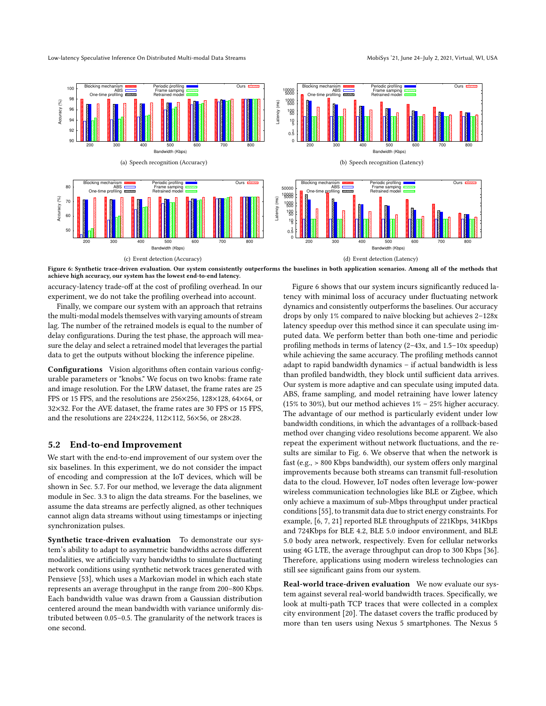<span id="page-8-0"></span>

Figure 6: Synthetic trace-driven evaluation. Our system consistently outperforms the baselines in both application scenarios. Among all of the methods that achieve high accuracy, our system has the lowest end-to-end latency.

accuracy-latency trade-off at the cost of profiling overhead. In our experiment, we do not take the profiling overhead into account.

Finally, we compare our system with an approach that retrains the multi-modal models themselves with varying amounts of stream lag. The number of the retrained models is equal to the number of delay configurations. During the test phase, the approach will measure the delay and select a retrained model that leverages the partial data to get the outputs without blocking the inference pipeline.

Configurations Vision algorithms often contain various configurable parameters or "knobs." We focus on two knobs: frame rate and image resolution. For the LRW dataset, the frame rates are 25 FPS or 15 FPS, and the resolutions are 256×256, 128×128, 64×64, or 32×32. For the AVE dataset, the frame rates are 30 FPS or 15 FPS, and the resolutions are 224×224, 112×112, 56×56, or 28×28.

#### 5.2 End-to-end Improvement

We start with the end-to-end improvement of our system over the six baselines. In this experiment, we do not consider the impact of encoding and compression at the IoT devices, which will be shown in Sec. [5.7.](#page-10-1) For our method, we leverage the data alignment module in Sec. [3.3](#page-6-1) to align the data streams. For the baselines, we assume the data streams are perfectly aligned, as other techniques cannot align data streams without using timestamps or injecting synchronization pulses.

Synthetic trace-driven evaluation To demonstrate our system's ability to adapt to asymmetric bandwidths across different modalities, we artificially vary bandwidths to simulate fluctuating network conditions using synthetic network traces generated with Pensieve [\[53\]](#page-13-28), which uses a Markovian model in which each state represents an average throughput in the range from 200–800 Kbps. Each bandwidth value was drawn from a Gaussian distribution centered around the mean bandwidth with variance uniformly distributed between 0.05–0.5. The granularity of the network traces is one second.

Figure [6](#page-8-0) shows that our system incurs significantly reduced latency with minimal loss of accuracy under fluctuating network dynamics and consistently outperforms the baselines. Our accuracy drops by only 1% compared to naïve blocking but achieves 2–128x latency speedup over this method since it can speculate using imputed data. We perform better than both one-time and periodic profiling methods in terms of latency (2–43x, and 1.5–10x speedup) while achieving the same accuracy. The profiling methods cannot adapt to rapid bandwidth dynamics – if actual bandwidth is less than profiled bandwidth, they block until sufficient data arrives. Our system is more adaptive and can speculate using imputed data. ABS, frame sampling, and model retraining have lower latency (15% to 30%), but our method achieves 1% – 25% higher accuracy. The advantage of our method is particularly evident under low bandwidth conditions, in which the advantages of a rollback-based method over changing video resolutions become apparent. We also repeat the experiment without network fluctuations, and the results are similar to Fig. [6.](#page-8-0) We observe that when the network is fast (e.g., > 800 Kbps bandwidth), our system offers only marginal improvements because both streams can transmit full-resolution data to the cloud. However, IoT nodes often leverage low-power wireless communication technologies like BLE or Zigbee, which only achieve a maximum of sub-Mbps throughput under practical conditions [\[55\]](#page-13-29), to transmit data due to strict energy constraints. For example, [\[6,](#page-12-28) [7,](#page-12-29) [21\]](#page-12-30) reported BLE throughputs of 221Kbps, 341Kbps and 724Kbps for BLE 4.2, BLE 5.0 indoor environment, and BLE 5.0 body area network, respectively. Even for cellular networks using 4G LTE, the average throughput can drop to 300 Kbps [\[36\]](#page-12-31). Therefore, applications using modern wireless technologies can still see significant gains from our system.

Real-world trace-driven evaluation We now evaluate our system against several real-world bandwidth traces. Specifically, we look at multi-path TCP traces that were collected in a complex city environment [\[20\]](#page-12-32). The dataset covers the traffic produced by more than ten users using Nexus 5 smartphones. The Nexus 5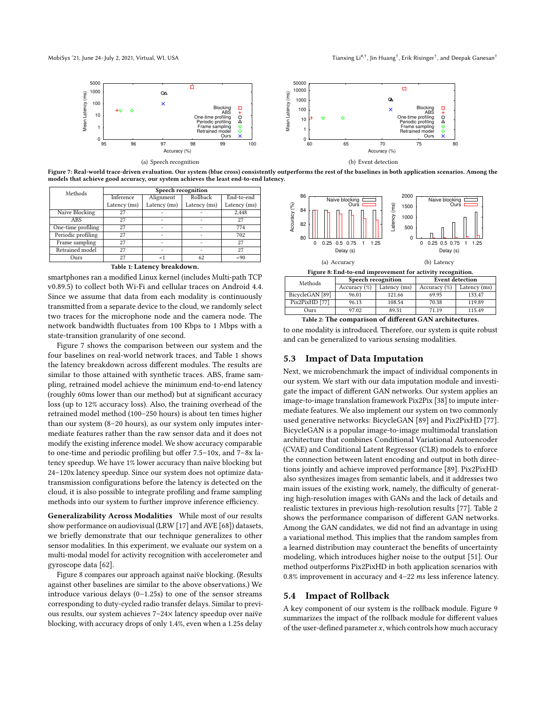<span id="page-9-0"></span>

Figure 7: Real-world trace-driven evaluation. Our system (blue cross) consistently outperforms the rest of the baselines in both application scenarios. Among the models that achieve good accuracy, our system achieves the least end-to-end latency.

<span id="page-9-1"></span>

| Methods            | Speech recognition |              |              |              |  |  |  |
|--------------------|--------------------|--------------|--------------|--------------|--|--|--|
|                    | Inference          | Alignment    | Rollback     | End-to-end   |  |  |  |
|                    | Latency (ms)       | Latency (ms) | Latency (ms) | Latency (ms) |  |  |  |
| Naive Blocking     | 27                 |              |              | 2.448        |  |  |  |
| <b>ABS</b>         | 27                 |              |              | 27           |  |  |  |
| One-time profiling | 27                 |              |              | 774          |  |  |  |
| Periodic profiling | 27                 |              |              | 702          |  |  |  |
| Frame sampling     | 27                 |              |              | 27           |  |  |  |
| Retrained model    | 27                 |              |              | 27           |  |  |  |
| Ours               | 27                 | <1           | 62           | ~< 90        |  |  |  |
|                    |                    |              |              |              |  |  |  |

Table 1: Latency breakdown.

smartphones ran a modified Linux kernel (includes Multi-path TCP v0.89.5) to collect both Wi-Fi and cellular traces on Android 4.4. Since we assume that data from each modality is continuously transmitted from a separate device to the cloud, we randomly select two traces for the microphone node and the camera node. The network bandwidth fluctuates from 100 Kbps to 1 Mbps with a state-transition granularity of one second.

Figure [7](#page-9-0) shows the comparison between our system and the four baselines on real-world network traces, and Table [1](#page-9-1) shows the latency breakdown across different modules. The results are similar to those attained with synthetic traces. ABS, frame sampling, retrained model achieve the minimum end-to-end latency (roughly 60ms lower than our method) but at significant accuracy loss (up to 12% accuracy loss). Also, the training overhead of the retrained model method (100–250 hours) is about ten times higher than our system (8–20 hours), as our system only imputes intermediate features rather than the raw sensor data and it does not modify the existing inference model. We show accuracy comparable to one-time and periodic profiling but offer 7.5–10x, and 7–8x latency speedup. We have 1% lower accuracy than naïve blocking but 24–120x latency speedup. Since our system does not optimize datatransmission configurations before the latency is detected on the cloud, it is also possible to integrate profiling and frame sampling methods into our system to further improve inference efficiency.

Generalizability Across Modalities While most of our results show performance on audiovisual (LRW [\[17\]](#page-12-23) and AVE [\[68\]](#page-13-20)) datasets, we briefly demonstrate that our technique generalizes to other sensor modalities. In this experiment, we evaluate our system on a multi-modal model for activity recognition with accelerometer and gyroscope data [\[62\]](#page-13-24).

Figure [8](#page-9-2) compares our approach against naive blocking. (Results against other baselines are similar to the above observations.) We introduce various delays  $(0-1.25s)$  to one of the sensor streams corresponding to duty-cycled radio transfer delays. Similar to previous results, our system achieves 7–24× latency speedup over naive¨ blocking, with accuracy drops of only 1.4%, even when a 1.25s delay

<span id="page-9-2"></span>

Figure 8: End-to-end improvement for activity recognition.

<span id="page-9-3"></span>

| Methods         | Speech recognition |              | <b>Event detection</b> |              |  |
|-----------------|--------------------|--------------|------------------------|--------------|--|
|                 | Accuracy $(\%)$    | Latency (ms) | Accuracy $(\%)$        | Latency (ms) |  |
| BicycleGAN [89] | 96.01              | 121.66       | 69.95                  | 133.47       |  |
| Pix2PixHD [77]  | 96.13              | 108.54       | 70.38                  | 119.89       |  |
| Ours            | 97.02              | 89.31        | 71.19                  | 115.49       |  |
|                 |                    |              |                        |              |  |

Table 2: The comparison of different GAN architectures.

to one modality is introduced. Therefore, our system is quite robust and can be generalized to various sensing modalities.

#### 5.3 Impact of Data Imputation

Next, we microbenchmark the impact of individual components in our system. We start with our data imputation module and investigate the impact of different GAN networks. Our system applies an image-to-image translation framework Pix2Pix [\[38\]](#page-12-20) to impute intermediate features. We also implement our system on two commonly used generative networks: BicycleGAN [\[89\]](#page-13-30) and Pix2PixHD [\[77\]](#page-13-31). BicycleGAN is a popular image-to-image multimodal translation architecture that combines Conditional Variational Autoencoder (CVAE) and Conditional Latent Regressor (CLR) models to enforce the connection between latent encoding and output in both directions jointly and achieve improved performance [\[89\]](#page-13-30). Pix2PixHD also synthesizes images from semantic labels, and it addresses two main issues of the existing work, namely, the difficulty of generating high-resolution images with GANs and the lack of details and realistic textures in previous high-resolution results [\[77\]](#page-13-31). Table [2](#page-9-3) shows the performance comparison of different GAN networks. Among the GAN candidates, we did not find an advantage in using a variational method. This implies that the random samples from a learned distribution may counteract the benefits of uncertainty modeling, which introduces higher noise to the output [\[51\]](#page-13-17). Our method outperforms Pix2PixHD in both application scenarios with  $0.8\%$  improvement in accuracy and 4–22  $ms$  less inference latency.

#### 5.4 Impact of Rollback

A key component of our system is the rollback module. Figure [9](#page-10-2) summarizes the impact of the rollback module for different values of the user-defined parameter  $x$ , which controls how much accuracy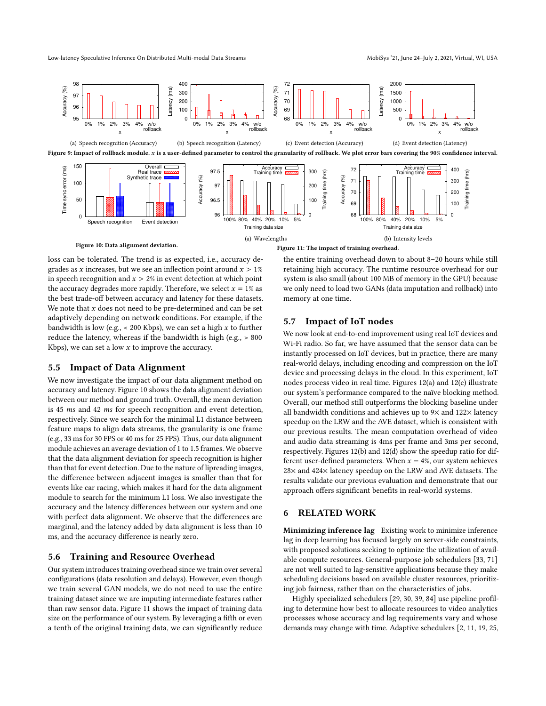<span id="page-10-3"></span><span id="page-10-2"></span>

loss can be tolerated. The trend is as expected, i.e., accuracy degrades as *x* increases, but we see an inflection point around  $x > 1\%$ in speech recognition and  $x > 2\%$  in event detection at which point the accuracy degrades more rapidly. Therefore, we select  $x = 1\%$  as the best trade-off between accuracy and latency for these datasets. We note that  $x$  does not need to be pre-determined and can be set adaptively depending on network conditions. For example, if the bandwidth is low (e.g.,  $\lt$  200 Kbps), we can set a high x to further reduce the latency, whereas if the bandwidth is high (e.g., > 800 Kbps), we can set a low  $x$  to improve the accuracy.

## 5.5 Impact of Data Alignment

We now investigate the impact of our data alignment method on accuracy and latency. Figure [10](#page-10-3) shows the data alignment deviation between our method and ground truth. Overall, the mean deviation is 45  $ms$  and 42  $ms$  for speech recognition and event detection, respectively. Since we search for the minimal L1 distance between feature maps to align data streams, the granularity is one frame (e.g., 33 ms for 30 FPS or 40 ms for 25 FPS). Thus, our data alignment module achieves an average deviation of 1 to 1.5 frames. We observe that the data alignment deviation for speech recognition is higher than that for event detection. Due to the nature of lipreading images, the difference between adjacent images is smaller than that for events like car racing, which makes it hard for the data alignment module to search for the minimum L1 loss. We also investigate the accuracy and the latency differences between our system and one with perfect data alignment. We observe that the differences are marginal, and the latency added by data alignment is less than 10 ms, and the accuracy difference is nearly zero.

#### <span id="page-10-0"></span>5.6 Training and Resource Overhead

Our system introduces training overhead since we train over several configurations (data resolution and delays). However, even though we train several GAN models, we do not need to use the entire training dataset since we are imputing intermediate features rather than raw sensor data. Figure [11](#page-10-3) shows the impact of training data size on the performance of our system. By leveraging a fifth or even a tenth of the original training data, we can significantly reduce

the entire training overhead down to about 8–20 hours while still retaining high accuracy. The runtime resource overhead for our system is also small (about 100 MB of memory in the GPU) because we only need to load two GANs (data imputation and rollback) into memory at one time.

#### <span id="page-10-1"></span>5.7 Impact of IoT nodes

We now look at end-to-end improvement using real IoT devices and Wi-Fi radio. So far, we have assumed that the sensor data can be instantly processed on IoT devices, but in practice, there are many real-world delays, including encoding and compression on the IoT device and processing delays in the cloud. In this experiment, IoT nodes process video in real time. Figures [12\(a\)](#page-11-0) and [12\(c\)](#page-11-1) illustrate our system's performance compared to the naïve blocking method. Overall, our method still outperforms the blocking baseline under all bandwidth conditions and achieves up to 9× and 122× latency speedup on the LRW and the AVE dataset, which is consistent with our previous results. The mean computation overhead of video and audio data streaming is 4ms per frame and 3ms per second, respectively. Figures [12\(b\)](#page-11-2) and [12\(d\)](#page-11-3) show the speedup ratio for different user-defined parameters. When  $x = 4\%$ , our system achieves 28× and 424× latency speedup on the LRW and AVE datasets. The results validate our previous evaluation and demonstrate that our approach offers significant benefits in real-world systems.

#### 6 RELATED WORK

Minimizing inference lag Existing work to minimize inference lag in deep learning has focused largely on server-side constraints, with proposed solutions seeking to optimize the utilization of available compute resources. General-purpose job schedulers [\[33,](#page-12-33) [71\]](#page-13-32) are not well suited to lag-sensitive applications because they make scheduling decisions based on available cluster resources, prioritizing job fairness, rather than on the characteristics of jobs.

Highly specialized schedulers [\[29,](#page-12-7) [30,](#page-12-34) [39,](#page-12-8) [84\]](#page-13-9) use pipeline profiling to determine how best to allocate resources to video analytics processes whose accuracy and lag requirements vary and whose demands may change with time. Adaptive schedulers [\[2,](#page-12-35) [11,](#page-12-36) [19,](#page-12-37) [25,](#page-12-38)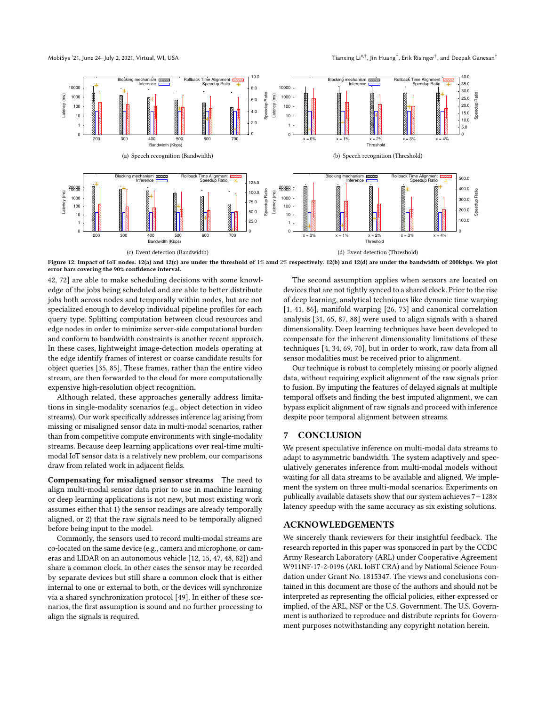<span id="page-11-2"></span>, Jin Huang $^\dagger$ , Erik Risinger $^\dagger$ , and Deepak Ganesan $^\dagger$ 

<span id="page-11-0"></span>

<span id="page-11-1"></span>Figure 12: Impact of IoT nodes. [12\(a\)](#page-11-0) and [12\(c\)](#page-11-1) are under the threshold of 1% amd 2% respectively. [12\(b\)](#page-11-2) and [12\(d\)](#page-11-3) are under the bandwidth of 200kbps. We plot error bars covering the 90% confidence interval.

[42,](#page-12-39) [72\]](#page-13-33) are able to make scheduling decisions with some knowledge of the jobs being scheduled and are able to better distribute jobs both across nodes and temporally within nodes, but are not specialized enough to develop individual pipeline profiles for each query type. Splitting computation between cloud resources and edge nodes in order to minimize server-side computational burden and conform to bandwidth constraints is another recent approach. In these cases, lightweight image-detection models operating at the edge identify frames of interest or coarse candidate results for object queries [\[35,](#page-12-9) [85\]](#page-13-10). These frames, rather than the entire video stream, are then forwarded to the cloud for more computationally expensive high-resolution object recognition.

Although related, these approaches generally address limitations in single-modality scenarios (e.g., object detection in video streams). Our work specifically addresses inference lag arising from missing or misaligned sensor data in multi-modal scenarios, rather than from competitive compute environments with single-modality streams. Because deep learning applications over real-time multimodal IoT sensor data is a relatively new problem, our comparisons draw from related work in adjacent fields.

Compensating for misaligned sensor streams The need to align multi-modal sensor data prior to use in machine learning or deep learning applications is not new, but most existing work assumes either that 1) the sensor readings are already temporally aligned, or 2) that the raw signals need to be temporally aligned before being input to the model.

Commonly, the sensors used to record multi-modal streams are co-located on the same device (e.g., camera and microphone, or cameras and LIDAR on an autonomous vehicle [\[12,](#page-12-40) [15,](#page-12-41) [47,](#page-12-42) [48,](#page-12-43) [82\]](#page-13-34)) and share a common clock. In other cases the sensor may be recorded by separate devices but still share a common clock that is either internal to one or external to both, or the devices will synchronize via a shared synchronization protocol [\[49\]](#page-13-35). In either of these scenarios, the first assumption is sound and no further processing to align the signals is required.

<span id="page-11-3"></span>The second assumption applies when sensors are located on devices that are not tightly synced to a shared clock. Prior to the rise of deep learning, analytical techniques like dynamic time warping [\[1,](#page-12-11) [41,](#page-12-12) [86\]](#page-13-14), manifold warping [\[26,](#page-12-44) [73\]](#page-13-36) and canonical correlation analysis [\[31,](#page-12-45) [65,](#page-13-37) [87,](#page-13-38) [88\]](#page-13-39) were used to align signals with a shared dimensionality. Deep learning techniques have been developed to compensate for the inherent dimensionality limitations of these techniques [\[4,](#page-12-46) [34,](#page-12-47) [69,](#page-13-40) [70\]](#page-13-41), but in order to work, raw data from all sensor modalities must be received prior to alignment.

Our technique is robust to completely missing or poorly aligned data, without requiring explicit alignment of the raw signals prior to fusion. By imputing the features of delayed signals at multiple temporal offsets and finding the best imputed alignment, we can bypass explicit alignment of raw signals and proceed with inference despite poor temporal alignment between streams.

### 7 CONCLUSION

We present speculative inference on multi-modal data streams to adapt to asymmetric bandwidth. The system adaptively and speculatively generates inference from multi-modal models without waiting for all data streams to be available and aligned. We implement the system on three multi-modal scenarios. Experiments on publically available datasets show that our system achieves 7−128× latency speedup with the same accuracy as six existing solutions.

## ACKNOWLEDGEMENTS

We sincerely thank reviewers for their insightful feedback. The research reported in this paper was sponsored in part by the CCDC Army Research Laboratory (ARL) under Cooperative Agreement W911NF-17-2-0196 (ARL IoBT CRA) and by National Science Foundation under Grant No. 1815347. The views and conclusions contained in this document are those of the authors and should not be interpreted as representing the official policies, either expressed or implied, of the ARL, NSF or the U.S. Government. The U.S. Government is authorized to reproduce and distribute reprints for Government purposes notwithstanding any copyright notation herein.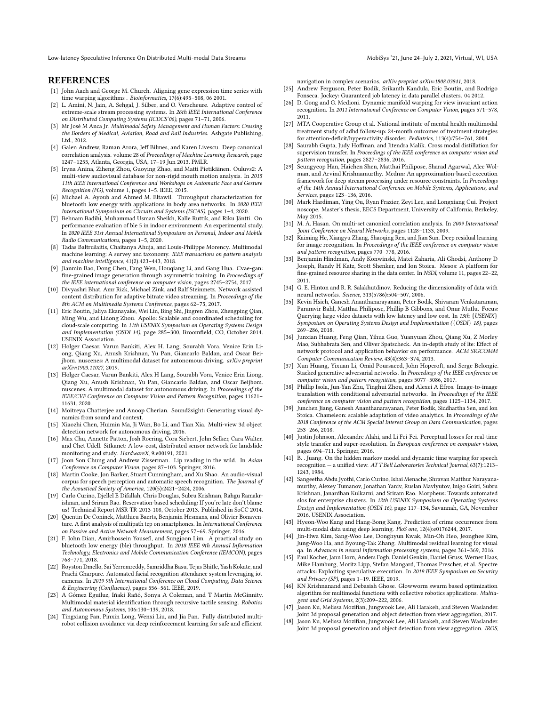Low-latency Speculative Inference On Distributed Multi-modal Data Streams Mobis Multi-modal Data Streams MobiSys '21, June 24-July 2, 2021, Virtual, WI, USA

#### **REFERENCES**

- <span id="page-12-11"></span>[1] John Aach and George M. Church. Aligning gene expression time series with time warping algorithms . Bioinformatics, 17(6):495–508, 06 2001.
- <span id="page-12-35"></span>[2] L. Amini, N. Jain, A. Sehgal, J. Silber, and O. Verscheure. Adaptive control of extreme-scale stream processing systems. In 26th IEEE International Conference on Distributed Computing Systems (ICDCS'06), pages 71–71, 2006.
- <span id="page-12-1"></span>[3] Mr José M Anca Jr. Multimodal Safety Management and Human Factors: Crossing the Borders of Medical, Aviation, Road and Rail Industries. Ashgate Publishing, Ltd., 2012.
- <span id="page-12-46"></span>[4] Galen Andrew, Raman Arora, Jeff Bilmes, and Karen Livescu. Deep canonical correlation analysis. volume 28 of Proceedings of Machine Learning Research, page 1247–1255, Atlanta, Georgia, USA, 17–19 Jun 2013. PMLR.
- <span id="page-12-24"></span>[5] Iryna Anina, Ziheng Zhou, Guoying Zhao, and Matti Pietikäinen. Ouluvs2: A multi-view audiovisual database for non-rigid mouth motion analysis. In 2015 11th IEEE International Conference and Workshops on Automatic Face and Gesture Recognition (FG), volume 1, pages 1–5. IEEE, 2015.
- <span id="page-12-28"></span>[6] Michael A. Ayoub and Ahmed M. Eltawil. Throughput characterization for bluetooth low energy with applications in body area networks. In 2020 IEEE International Symposium on Circuits and Systems (ISCAS), pages 1–4, 2020.
- <span id="page-12-29"></span>[7] Behnam Badihi, Muhammad Usman Sheikh, Kalle Ruttik, and Riku Jäntti. On performance evaluation of ble 5 in indoor environment: An experimental study. In 2020 IEEE 31st Annual International Symposium on Personal, Indoor and Mobile Radio Communications, pages 1–5, 2020.
- <span id="page-12-15"></span>[8] Tadas Baltrušaitis, Chaitanya Ahuja, and Louis-Philippe Morency. Multimodal machine learning: A survey and taxonomy. IEEE transactions on pattern analysis and machine intelligence, 41(2):423–443, 2018.
- <span id="page-12-17"></span>Jianmin Bao, Dong Chen, Fang Wen, Houqiang Li, and Gang Hua. Cvae-gan: fine-grained image generation through asymmetric training. In Proceedings of the IEEE international conference on computer vision, pages 2745–2754, 2017.
- <span id="page-12-27"></span>[10] Divyashri Bhat, Amr Rizk, Michael Zink, and Ralf Steinmetz. Network assisted content distribution for adaptive bitrate video streaming. In Proceedings of the 8th ACM on Multimedia Systems Conference, pages 62–75, 2017.
- <span id="page-12-36"></span>[11] Eric Boutin, Jaliya Ekanayake, Wei Lin, Bing Shi, Jingren Zhou, Zhengping Qian, Ming Wu, and Lidong Zhou. Apollo: Scalable and coordinated scheduling for cloud-scale computing. In 11th USENIX Symposium on Operating Systems Design and Implementation (OSDI 14), page 285–300, Broomfield, CO, October 2014. USENIX Association.
- <span id="page-12-40"></span>[12] Holger Caesar, Varun Bankiti, Alex H. Lang, Sourabh Vora, Venice Erin Liong, Qiang Xu, Anush Krishnan, Yu Pan, Giancarlo Baldan, and Oscar Beijbom. nuscenes: A multimodal dataset for autonomous driving. arXiv preprint arXiv:1903.11027, 2019.
- <span id="page-12-4"></span>[13] Holger Caesar, Varun Bankiti, Alex H Lang, Sourabh Vora, Venice Erin Liong, Qiang Xu, Anush Krishnan, Yu Pan, Giancarlo Baldan, and Oscar Beijbom. nuscenes: A multimodal dataset for autonomous driving. In Proceedings of the IEEE/CVF Conference on Computer Vision and Pattern Recognition, pages 11621– 11631, 2020.
- <span id="page-12-16"></span>[14] Moitreya Chatterjee and Anoop Cherian. Sound2sight: Generating visual dynamics from sound and context.
- <span id="page-12-41"></span>[15] Xiaozhi Chen, Huimin Ma, Ji Wan, Bo Li, and Tian Xia. Multi-view 3d object detection network for autonomous driving, 2016.
- <span id="page-12-5"></span>[16] Max Chu, Annette Patton, Josh Roering, Cora Siebert, John Selker, Cara Walter, and Chet Udell. Sitkanet: A low-cost, distributed sensor network for landslide monitoring and study. HardwareX, 9:e00191, 2021.
- <span id="page-12-23"></span>[17] Joon Son Chung and Andrew Zisserman. Lip reading in the wild. In Asian Conference on Computer Vision, pages 87–103. Springer, 2016.
- <span id="page-12-25"></span>[18] Martin Cooke, Jon Barker, Stuart Cunningham, and Xu Shao. An audio-visual corpus for speech perception and automatic speech recognition. The Journal of the Acoustical Society of America, 120(5):2421–2424, 2006.
- <span id="page-12-37"></span>[19] Carlo Curino, Djellel E Difallah, Chris Douglas, Subru Krishnan, Rahgu Ramakrishnan, and Sriram Rao. Reservation-based scheduling: If you're late don't blame us! Technical Report MSR-TR-2013-108, October 2013. Published in SoCC 2014.
- <span id="page-12-32"></span>[20] Quentin De Coninck, Matthieu Baerts, Benjamin Hesmans, and Olivier Bonaventure. A first analysis of multipath tcp on smartphones. In International Conference on Passive and Active Network Measurement, pages 57–69. Springer, 2016.
- <span id="page-12-30"></span>[21] F. John Dian, Amirhossein Yousefi, and Sungjoon Lim. A practical study on bluetooth low energy (ble) throughput. In 2018 IEEE 9th Annual Information Technology, Electronics and Mobile Communication Conference (IEMCON), pages 768–771, 2018.
- <span id="page-12-13"></span>[22] Royston Dmello, Sai Yerremreddy, Samriddha Basu, Tejas Bhitle, Yash Kokate, and Prachi Gharpure. Automated facial recognition attendance system leveraging iot cameras. In 2019 9th International Conference on Cloud Computing, Data Science & Engineering (Confluence), pages 556–561. IEEE, 2019.
- <span id="page-12-2"></span>[23] A Gómez Eguíluz, Iñaki Rañó, Sonya A Coleman, and T Martin McGinnity. Multimodal material identification through recursive tactile sensing. Robotics and Autonomous Systems, 106:130–139, 2018.
- <span id="page-12-14"></span>[24] Tingxiang Fan, Pinxin Long, Wenxi Liu, and Jia Pan. Fully distributed multirobot collision avoidance via deep reinforcement learning for safe and efficient

navigation in complex scenarios. arXiv preprint arXiv:1808.03841, 2018.

- <span id="page-12-38"></span>[25] Andrew Ferguson, Peter Bodik, Srikanth Kandula, Eric Boutin, and Rodrigo Fonseca. Jockey: Guaranteed job latency in data parallel clusters. 04 2012.
- <span id="page-12-44"></span>[26] D. Gong and G. Medioni. Dynamic manifold warping for view invariant action recognition. In 2011 International Conference on Computer Vision, pages 571–578, 2011.
- <span id="page-12-0"></span>[27] MTA Cooperative Group et al. National institute of mental health multimodal treatment study of adhd follow-up: 24-month outcomes of treatment strategies for attention-deficit/hyperactivity disorder. Pediatrics, 113(4):754–761, 2004.
- <span id="page-12-22"></span>[28] Saurabh Gupta, Judy Hoffman, and Jitendra Malik. Cross modal distillation for supervision transfer. In Proceedings of the IEEE conference on computer vision and pattern recognition, pages 2827–2836, 2016.
- <span id="page-12-7"></span>[29] Seungyeop Han, Haichen Shen, Matthai Philipose, Sharad Agarwal, Alec Wolman, and Arvind Krishnamurthy. Mcdnn: An approximation-based execution framework for deep stream processing under resource constraints. In Proceedings of the 14th Annual International Conference on Mobile Systems, Applications, and Services, pages 123–136, 2016.
- <span id="page-12-34"></span>[30] Mark Hardiman, Ying Ou, Ryan Frazier, Zeyi Lee, and Longxiang Cui. Project noscope. Master's thesis, EECS Department, University of California, Berkeley, May 2015.
- <span id="page-12-45"></span>[31] M. A. Hasan. On multi-set canonical correlation analysis. In 2009 International Joint Conference on Neural Networks, pages 1128–1133, 2009.
- <span id="page-12-19"></span>[32] Kaiming He, Xiangyu Zhang, Shaoqing Ren, and Jian Sun. Deep residual learning for image recognition. In Proceedings of the IEEE conference on computer vision and pattern recognition, pages 770–778, 2016.
- <span id="page-12-33"></span>[33] Benjamin Hindman, Andy Konwinski, Matei Zaharia, Ali Ghodsi, Anthony D Joseph, Randy H Katz, Scott Shenker, and Ion Stoica. Mesos: A platform for fine-grained resource sharing in the data center. In NSDI, volume 11, pages 22–22, 2011.
- <span id="page-12-47"></span>[34] G. E. Hinton and R. R. Salakhutdinov. Reducing the dimensionality of data with neural networks. Science, 313(5786):504–507, 2006.
- <span id="page-12-9"></span>[35] Kevin Hsieh, Ganesh Ananthanarayanan, Peter Bodik, Shivaram Venkataraman, Paramvir Bahl, Matthai Philipose, Phillip B Gibbons, and Onur Mutlu. Focus: Querying large video datasets with low latency and low cost. In 13th {USENIX} Symposium on Operating Systems Design and Implementation ({OSDI} 18), pages 269–286, 2018.
- <span id="page-12-31"></span>[36] Junxian Huang, Feng Qian, Yihua Guo, Yuanyuan Zhou, Qiang Xu, Z Morley Mao, Subhabrata Sen, and Oliver Spatscheck. An in-depth study of lte: Effect of network protocol and application behavior on performance. ACM SIGCOMM Computer Communication Review, 43(4):363–374, 2013.
- <span id="page-12-18"></span>[37] Xun Huang, Yixuan Li, Omid Poursaeed, John Hopcroft, and Serge Belongie. Stacked generative adversarial networks. In Proceedings of the IEEE conference on computer vision and pattern recognition, pages 5077–5086, 2017.
- <span id="page-12-20"></span>[38] Phillip Isola, Jun-Yan Zhu, Tinghui Zhou, and Alexei A Efros. Image-to-image translation with conditional adversarial networks. In Proceedings of the IEEE conference on computer vision and pattern recognition, pages 1125–1134, 2017.
- <span id="page-12-8"></span>[39] Junchen Jiang, Ganesh Ananthanarayanan, Peter Bodik, Siddhartha Sen, and Ion Stoica. Chameleon: scalable adaptation of video analytics. In Proceedings of the 2018 Conference of the ACM Special Interest Group on Data Communication, pages 253–266, 2018.
- <span id="page-12-21"></span>[40] Justin Johnson, Alexandre Alahi, and Li Fei-Fei. Perceptual losses for real-time style transfer and super-resolution. In European conference on computer vision, pages 694–711. Springer, 2016.
- <span id="page-12-12"></span>[41] B. . Juang. On the hidden markov model and dynamic time warping for speech recognition — a unified view. AT T Bell Laboratories Technical Journal, 63(7):1213– 1243, 1984.
- <span id="page-12-39"></span>[42] Sangeetha Abdu Jyothi, Carlo Curino, Ishai Menache, Shravan Matthur Narayanamurthy, Alexey Tumanov, Jonathan Yaniv, Ruslan Mavlyutov, Inigo Goiri, Subru Krishnan, Janardhan Kulkarni, and Sriram Rao. Morpheus: Towards automated slos for enterprise clusters. In 12th USENIX Symposium on Operating Systems Design and Implementation (OSDI 16), page 117–134, Savannah, GA, November 2016. USENIX Association.
- <span id="page-12-6"></span>[43] Hyeon-Woo Kang and Hang-Bong Kang. Prediction of crime occurrence from multi-modal data using deep learning. PloS one, 12(4):e0176244, 2017.
- <span id="page-12-26"></span>[44] Jin-Hwa Kim, Sang-Woo Lee, Donghyun Kwak, Min-Oh Heo, Jeonghee Kim, Jung-Woo Ha, and Byoung-Tak Zhang. Multimodal residual learning for visual qa. In Advances in neural information processing systems, pages 361–369, 2016.
- <span id="page-12-10"></span>[45] Paul Kocher, Jann Horn, Anders Fogh, Daniel Genkin, Daniel Gruss, Werner Haas, Mike Hamburg, Moritz Lipp, Stefan Mangard, Thomas Prescher, et al. Spectre attacks: Exploiting speculative execution. In 2019 IEEE Symposium on Security and Privacy (SP), pages 1–19. IEEE, 2019.
- <span id="page-12-3"></span>[46] KN Krishnanand and Debasish Ghose. Glowworm swarm based optimization algorithm for multimodal functions with collective robotics applications. Multiagent and Grid Systems, 2(3):209–222, 2006.
- <span id="page-12-42"></span>Jason Ku, Melissa Mozifian, Jungwook Lee, Ali Harakeh, and Steven Waslander. Joint 3d proposal generation and object detection from view aggregation, 2017.
- <span id="page-12-43"></span>[48] Jason Ku, Melissa Mozifian, Jungwook Lee, Ali Harakeh, and Steven Waslander. Joint 3d proposal generation and object detection from view aggregation. IROS,